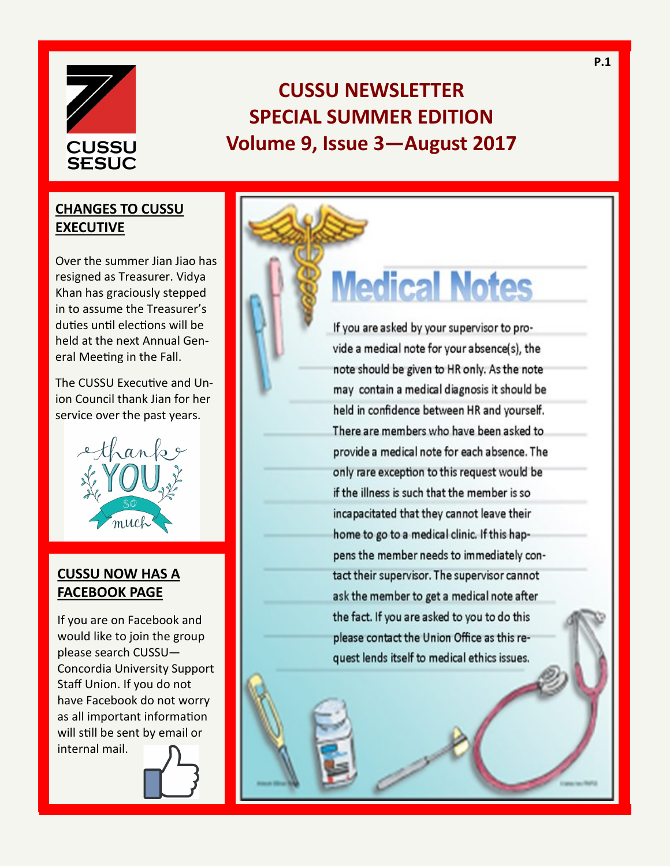

# **CUSSU NEWSLETTER SPECIAL SUMMER EDITION Volume 9, Issue 3—August 2017**

## **CHANGES TO CUSSU EXECUTIVE**

Over the summer Jian Jiao has resigned as Treasurer. Vidya Khan has graciously stepped in to assume the Treasurer's duties until elections will be held at the next Annual General Meeting in the Fall.

The CUSSU Executive and Union Council thank Jian for her service over the past years.



## **CUSSU NOW HAS A FACEBOOK PAGE**

If you are on Facebook and would like to join the group please search CUSSU— Concordia University Support Staff Union. If you do not have Facebook do not worry as all important information will still be sent by email or internal mail.

**Medical Notes** 

If you are asked by your supervisor to provide a medical note for your absence(s), the note should be given to HR only. As the note may contain a medical diagnosis it should be held in confidence between HR and yourself. There are members who have been asked to provide a medical note for each absence. The only rare exception to this request would be if the illness is such that the member is so incapacitated that they cannot leave their home to go to a medical clinic. If this happens the member needs to immediately contact their supervisor. The supervisor cannot ask the member to get a medical note after the fact. If you are asked to you to do this please contact the Union Office as this request lends itself to medical ethics issues.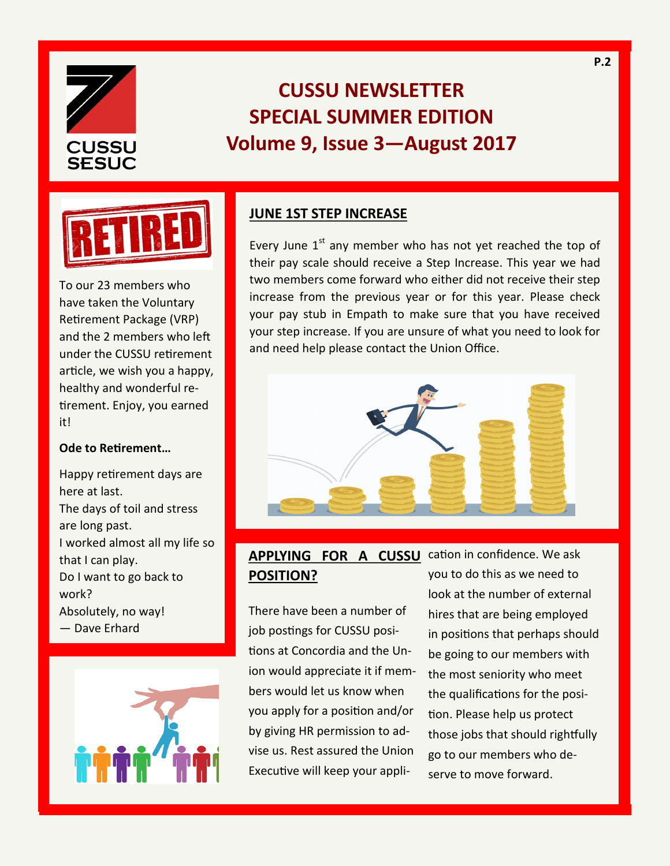

# **CUSSU NEWSLETTER SPECIAL SUMMER EDITION Volume 9, Issue 3—August 2017**



To our 23 members who have taken the Voluntary Retirement Package (VRP) and the 2 members who left under the CUSSU retirement article, we wish you a happy, healthy and wonderful retirement. Enjoy, you earned it!

#### **Ode to Retirement…**

Happy retirement days are here at last. The days of toil and stress are long past. I worked almost all my life so that I can play. Do I want to go back to work? Absolutely, no way! — Dave Erhard



#### **JUNE 1ST STEP INCREASE**

Every June  $1<sup>st</sup>$  any member who has not yet reached the top of their pay scale should receive a Step Increase. This year we had two members come forward who either did not receive their step increase from the previous year or for this year. Please check your pay stub in Empath to make sure that you have received your step increase. If you are unsure of what you need to look for and need help please contact the Union Office.



## **APPLYING FOR A CUSSU** cation in confidence. We ask **POSITION?**

There have been a number of job postings for CUSSU positions at Concordia and the Union would appreciate it if members would let us know when you apply for a position and/or by giving HR permission to advise us. Rest assured the Union Executive will keep your appliyou to do this as we need to look at the number of external hires that are being employed in positions that perhaps should be going to our members with the most seniority who meet the qualifications for the position. Please help us protect those jobs that should rightfully go to our members who deserve to move forward.